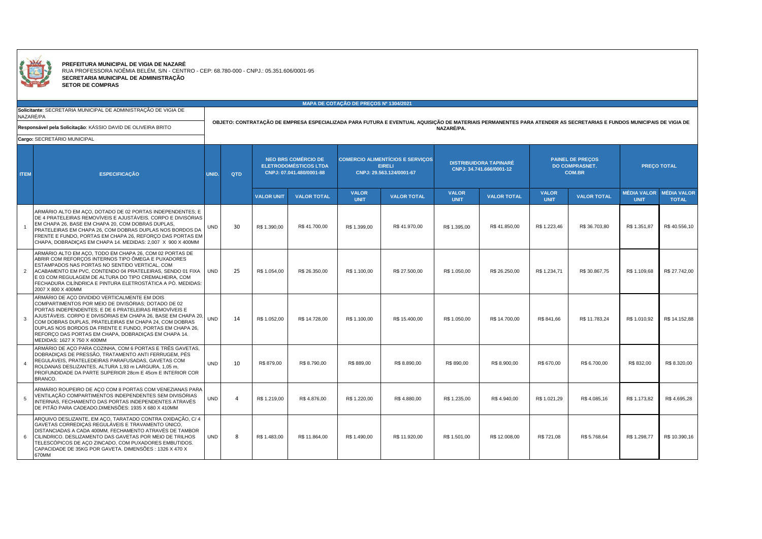

**PREFEITURA MUNICIPAL DE VIGIA DE NAZARE<br>
RUA PROFESSORA NOÊMIA BELÉM, S/N - CENTRO - CEP: 68.780-000 - CNPJ.: 05.351.606/0001-95<br>
SETOR DE COMPRAS<br>
SETOR DE COMPRAS** 

|                |                                                                                                                                                                                                                                                                                                                                                                                                                                             |                                                                                                                                                                    |            |                                                                                        |                    | MAPA DE COTAÇÃO DE PRECOS Nº 1304/2021                                               |                    |                                                           |                    |                                                                   |                    |                                   |                                    |  |  |
|----------------|---------------------------------------------------------------------------------------------------------------------------------------------------------------------------------------------------------------------------------------------------------------------------------------------------------------------------------------------------------------------------------------------------------------------------------------------|--------------------------------------------------------------------------------------------------------------------------------------------------------------------|------------|----------------------------------------------------------------------------------------|--------------------|--------------------------------------------------------------------------------------|--------------------|-----------------------------------------------------------|--------------------|-------------------------------------------------------------------|--------------------|-----------------------------------|------------------------------------|--|--|
|                | Solicitante: SECRETARIA MUNICIPAL DE ADMINISTRAÇÃO DE VIGIA DE<br>NAZARÉ/PA                                                                                                                                                                                                                                                                                                                                                                 | OBJETO: CONTRATAÇÃO DE EMPRESA ESPECIALIZADA PARA FUTURA E EVENTUAL AQUISIÇÃO DE MATERIAIS PERMANENTES PARA ATENDER AS SECRETARIAS E FUNDOS MUNICIPAIS DE VIGIA DE |            |                                                                                        |                    |                                                                                      |                    |                                                           |                    |                                                                   |                    |                                   |                                    |  |  |
|                | Responsável pela Solicitação: KÁSSIO DAVID DE OLIVEIRA BRITO                                                                                                                                                                                                                                                                                                                                                                                |                                                                                                                                                                    | NAZARÉ/PA. |                                                                                        |                    |                                                                                      |                    |                                                           |                    |                                                                   |                    |                                   |                                    |  |  |
|                | Cargo: SECRETÁRIO MUNICIPAL                                                                                                                                                                                                                                                                                                                                                                                                                 |                                                                                                                                                                    |            |                                                                                        |                    |                                                                                      |                    |                                                           |                    |                                                                   |                    |                                   |                                    |  |  |
| <b>ITEM</b>    | <b>ESPECIFICACÃO</b>                                                                                                                                                                                                                                                                                                                                                                                                                        | UNID.                                                                                                                                                              | <b>QTD</b> | <b>NEO BRS COMÉRCIO DE</b><br><b>ELETRODOMÉSTICOS LTDA</b><br>CNPJ: 07.041.480/0001-88 |                    | <b>COMERCIO ALIMENTÍCIOS E SERVIÇOS</b><br><b>EIRELI</b><br>CNPJ: 29.563.124/0001-67 |                    | <b>DISTRIBUIDORA TAPINARÉ</b><br>CNPJ: 34.741.666/0001-12 |                    | <b>PAINEL DE PRECOS</b><br><b>DO COMPRASNET.</b><br><b>COM.BR</b> |                    | <b>PRECO TOTAL</b>                |                                    |  |  |
|                |                                                                                                                                                                                                                                                                                                                                                                                                                                             |                                                                                                                                                                    |            | <b>VALOR UNIT</b>                                                                      | <b>VALOR TOTAL</b> | <b>VALOR</b><br><b>UNIT</b>                                                          | <b>VALOR TOTAL</b> | <b>VALOR</b><br><b>UNIT</b>                               | <b>VALOR TOTAL</b> | <b>VALOR</b><br><b>UNIT</b>                                       | <b>VALOR TOTAL</b> | <b>MÉDIA VALOR</b><br><b>UNIT</b> | <b>MÉDIA VALOR</b><br><b>TOTAL</b> |  |  |
|                | ARMÁRIO ALTO EM ACO, DOTADO DE 02 PORTAS INDEPENDENTES; E<br>DE 4 PRATELEIRAS REMOVÍVEIS E AJUSTÁVEIS. CORPO E DIVISÓRIAS<br>EM CHAPA 26, BASE EM CHAPA 20, COM DOBRAS DUPLAS,<br>PRATELEIRAS EM CHAPA 26, COM DOBRAS DUPLAS NOS BORDOS DA<br>FRENTE E FUNDO, PORTAS EM CHAPA 26, REFORÇO DAS PORTAS EM<br>CHAPA, DOBRADIÇAS EM CHAPA 14. MEDIDAS: 2,007 X 900 X 400MM                                                                      | <b>UND</b>                                                                                                                                                         | 30         | R\$ 1.390,00                                                                           | R\$41,700.00       | R\$ 1.399.00                                                                         | R\$41,970.00       | R\$ 1.395.00                                              | R\$41,850.00       | R\$ 1.223.46                                                      | R\$ 36,703.80      | R\$ 1.351.87                      | R\$40.556,10                       |  |  |
| $\overline{2}$ | ARMÁRIO ALTO EM ACO, TODO EM CHAPA 26, COM 02 PORTAS DE<br>ABRIR COM REFORÇOS INTERNOS TIPO ÔMEGA E PUXADORES<br>ESTAMPADOS NAS PORTAS NO SENTIDO VERTICAL, COM<br>ACABAMENTO EM PVC, CONTENDO 04 PRATELEIRAS, SENDO 01 FIXA<br>E 03 COM REGULAGEM DE ALTURA DO TIPO CREMALHEIRA, COM<br>FECHADURA CILÍNDRICA E PINTURA ELETROSTÁTICA A PÓ. MEDIDAS:<br>2007 X 800 X 400MM                                                                  | <b>UND</b>                                                                                                                                                         | 25         | R\$ 1.054.00                                                                           | R\$ 26,350.00      | R\$ 1.100.00                                                                         | R\$ 27,500.00      | R\$ 1.050.00                                              | R\$ 26,250.00      | R\$ 1.234.71                                                      | R\$ 30,867.75      | R\$ 1.109.68                      | R\$ 27.742,00                      |  |  |
| 3              | ARMÁRIO DE AÇO DIVIDIDO VERTICALMENTE EM DOIS<br>COMPARTIMENTOS POR MEIO DE DIVISÓRIAS; DOTADO DE 02<br>PORTAS INDEPENDENTES; E DE 6 PRATELEIRAS REMOVÍVEIS E<br>AJUSTÁVEIS. CORPO E DIVISÓRIAS EM CHAPA 26, BASE EM CHAPA 20,<br>COM DOBRAS DUPLAS, PRATELEIRAS EM CHAPA 24, COM DOBRAS<br>DUPLAS NOS BORDOS DA FRENTE E FUNDO, PORTAS EM CHAPA 26,<br>REFORCO DAS PORTAS EM CHAPA, DOBRADICAS EM CHAPA 14.<br>MEDIDAS: 1627 X 750 X 400MM | <b>UND</b>                                                                                                                                                         | 14         | R\$ 1.052.00                                                                           | R\$ 14,728.00      | R\$ 1.100.00                                                                         | R\$ 15,400.00      | R\$ 1.050.00                                              | R\$ 14,700.00      | R\$ 841.66                                                        | R\$ 11,783.24      | R\$ 1.010.92                      | R\$ 14.152.88                      |  |  |
|                | ARMÁRIO DE AÇO PARA COZINHA, COM 6 PORTAS E TRÊS GAVETAS,<br>DOBRADIÇAS DE PRESSÃO, TRATAMENTO ANTI FERRUGEM, PÉS<br>REGULÁVEIS, PRATELEDEIRAS PARAFUSADAS, GAVETAS COM<br>ROLDANAS DESLIZANTES, ALTURA 1,93 m LARGURA, 1,05 m,<br>PROFUNDIDADE DA PARTE SUPERIOR 28cm E 45cm E INTERIOR COR<br>BRANCO.                                                                                                                                     | <b>UND</b>                                                                                                                                                         | 10         | R\$ 879.00                                                                             | R\$ 8.790,00       | R\$ 889.00                                                                           | R\$ 8.890,00       | R\$890.00                                                 | R\$ 8,900.00       | R\$ 670.00                                                        | R\$ 6.700,00       | R\$ 832,00                        | R\$ 8.320,00                       |  |  |
|                | ARMÁRIO ROUPEIRO DE AÇO COM 8 PORTAS COM VENEZIANAS PARA<br>VENTILAÇÃO COMPARTIMENTOS INDEPENDENTES SEM DIVISÓRIAS<br>INTERNAS, FECHAMENTO DAS PORTAS INDEPENDENTES ATRAVÉS<br>DE PITÃO PARA CADEADO.DIMENSÕES: 1935 X 680 X 410MM                                                                                                                                                                                                          | <b>UND</b>                                                                                                                                                         | $\Delta$   | R\$ 1.219,00                                                                           | R\$4.876,00        | R\$ 1.220,00                                                                         | R\$4.880,00        | R\$ 1.235,00                                              | R\$ 4.940,00       | R\$ 1.021,29                                                      | R\$4.085,16        | R\$ 1.173.82                      | R\$4.695,28                        |  |  |
| 6              | ARQUIVO DESLIZANTE, EM AÇO, TARATADO CONTRA OXIDAÇÃO, C/ 4<br>GAVETAS CORREDIÇAS REGULÁVEIS E TRAVAMENTO ÚNICO,<br>DISTANCIADAS A CADA 400MM, FECHAMENTO ATRAVÉS DE TAMBOR<br>CILINDRICO. DESLIZAMENTO DAS GAVETAS POR MEIO DE TRILHOS<br>TELESCÓPICOS DE AÇO ZINCADO, COM PUXADORES EMBUTIDOS.<br>CAPACIDADE DE 35KG POR GAVETA. DIMENSÕES : 1326 X 470 X<br>670MM                                                                         | <b>UND</b>                                                                                                                                                         | -8         | R\$ 1.483,00                                                                           | R\$ 11,864.00      | R\$ 1.490.00                                                                         | R\$ 11.920,00      | R\$ 1.501,00                                              | R\$ 12,008.00      | R\$ 721,08                                                        | R\$ 5.768.64       | R\$ 1.298,77                      | R\$ 10.390,16                      |  |  |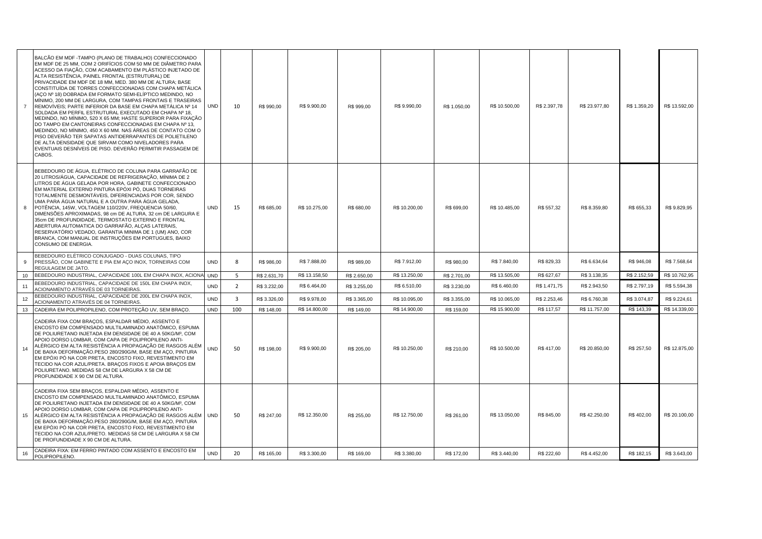| $\overline{7}$ | BALCÃO EM MDF -TAMPO (PLANO DE TRABALHO) CONFECCIONADO<br>EM MDF DE 25 MM, COM 2 ORIFÍCIOS COM 50 MM DE DIÂMETRO PARA<br>ACESSO DA FIAÇÃO, COM ACABAMENTO EM PLÁSTICO INJETADO DE<br>ALTA RESISTÊNCIA, PAINEL FRONTAL (ESTRUTURAL) DE<br>PRIVACIDADE EM MDF DE 18 MM, MED. 380 MM DE ALTURA; BASE<br>CONSTITUÍDA DE TORRES CONFECCIONADAS COM CHAPA METÁLICA<br>(AÇO Nº 18) DOBRADA EM FORMATO SEMI-ELÍPTICO MEDINDO, NO<br>MÍNIMO, 200 MM DE LARGURA, COM TAMPAS FRONTAIS E TRASEIRAS<br>REMOVÍVEIS; PARTE INFERIOR DA BASE EM CHAPA METÁLICA № 14<br>SOLDADA EM PERFIL ESTRUTURAL EXECUTADO EM CHAPA Nº 18,<br>MEDINDO, NO MÍNIMO, 520 X 65 MM; HASTE SUPERIOR PARA FIXAÇÃO<br>DO TAMPO EM CANTONEIRAS CONFECCIONADAS EM CHAPA Nº 13,<br>MEDINDO, NO MÍNIMO, 450 X 60 MM. NAS ÁREAS DE CONTATO COM O<br>PISO DEVERÃO TER SAPATAS ANTIDERRAPANTES DE POLIETILENO<br>DE ALTA DENSIDADE QUE SIRVAM COMO NIVELADORES PARA<br>EVENTUAIS DESNÍVEIS DE PISO. DEVERÃO PERMITIR PASSAGEM DE<br>CABOS. | <b>UND</b> | 10                      | R\$ 990,00   | R\$ 9.900,00  | R\$ 999,00   | R\$ 9.990,00  | R\$ 1.050,00 | R\$ 10.500,00 | R\$ 2.397,78 | R\$ 23.977,80 | R\$ 1.359,20 | R\$ 13.592,00 |
|----------------|------------------------------------------------------------------------------------------------------------------------------------------------------------------------------------------------------------------------------------------------------------------------------------------------------------------------------------------------------------------------------------------------------------------------------------------------------------------------------------------------------------------------------------------------------------------------------------------------------------------------------------------------------------------------------------------------------------------------------------------------------------------------------------------------------------------------------------------------------------------------------------------------------------------------------------------------------------------------------------------------|------------|-------------------------|--------------|---------------|--------------|---------------|--------------|---------------|--------------|---------------|--------------|---------------|
| 8              | BEBEDOURO DE ÁGUA, ELÉTRICO DE COLUNA PARA GARRAFÃO DE<br>20 LITROS/ÁGUA, CAPACIDADE DE REFRIGERAÇÃO, MÍNIMA DE 2<br>LITROS DE ÁGUA GELADA POR HORA, GABINETE CONFECCIONADO<br>EM MATERIAL EXTERNO PINTURA EPÓXI PÓ, DUAS TORNEIRAS<br>TOTALMENTE DESMONTÁVEIS, DIFERENCIADAS POR COR, SENDO<br>UMA PARA ÁGUA NATURAL E A OUTRA PARA ÁGUA GELADA,<br>POTÊNCIA, 145W, VOLTAGEM 110/220V, FREQUENCIA 50/60,<br>DIMENSÕES APROXIMADAS, 98 cm DE ALTURA, 32 cm DE LARGURA E<br>35cm DE PROFUNDIDADE, TERMOSTATO EXTERNO E FRONTAL<br>ABERTURA AUTOMATICA DO GARRAFÃO, ALCAS LATERAIS,<br>RESERVATÓRIO VEDADO, GARANTIA MINIMA DE 1 (UM) ANO, COR<br>BRANCA, COM MANUAL DE INSTRUÇÕES EM PORTUGUES, BAIXO<br>CONSUMO DE ENERGIA.                                                                                                                                                                                                                                                                    | <b>UND</b> | 15                      | R\$ 685,00   | R\$ 10.275,00 | R\$ 680,00   | R\$ 10.200,00 | R\$ 699,00   | R\$ 10.485,00 | R\$ 557,32   | R\$ 8.359,80  | R\$ 655,33   | R\$ 9.829,95  |
| 9              | BEBEDOURO ELÉTRICO CONJUGADO - DUAS COLUNAS, TIPO<br>PRESSÃO, COM GABINETE E PIA EM AÇO INOX, TORNEIRAS COM<br>REGULAGEM DE JATO.                                                                                                                                                                                                                                                                                                                                                                                                                                                                                                                                                                                                                                                                                                                                                                                                                                                              | <b>UND</b> | 8                       | R\$ 986,00   | R\$ 7.888,00  | R\$ 989,00   | R\$ 7.912,00  | R\$ 980,00   | R\$ 7.840,00  | R\$ 829,33   | R\$ 6.634,64  | R\$ 946,08   | R\$7.568,64   |
| 10             | BEBEDOURO INDUSTRIAL, CAPACIDADE 100L EM CHAPA INOX, ACIONAL                                                                                                                                                                                                                                                                                                                                                                                                                                                                                                                                                                                                                                                                                                                                                                                                                                                                                                                                   | <b>UND</b> | 5                       | R\$ 2.631,70 | R\$ 13.158,50 | R\$ 2.650,00 | R\$ 13.250,00 | R\$ 2.701,00 | R\$ 13.505,00 | R\$ 627,67   | R\$ 3.138,35  | R\$ 2.152,59 | R\$ 10.762,95 |
| 11             | BEBEDOURO INDUSTRIAL, CAPACIDADE DE 150L EM CHAPA INOX,<br>ACIONAMENTO ATRAVÉS DE 03 TORNEIRAS.                                                                                                                                                                                                                                                                                                                                                                                                                                                                                                                                                                                                                                                                                                                                                                                                                                                                                                | <b>UND</b> | $\overline{2}$          | R\$ 3.232,00 | R\$ 6.464,00  | R\$ 3.255,00 | R\$ 6.510,00  | R\$ 3.230,00 | R\$ 6.460,00  | R\$ 1.471,75 | R\$ 2.943,50  | R\$ 2.797,19 | R\$ 5.594,38  |
| 12             | BEBEDOURO INDUSTRIAL, CAPACIDADE DE 200L EM CHAPA INOX,<br>ACIONAMENTO ATRAVÉS DE 04 TORNEIRAS.                                                                                                                                                                                                                                                                                                                                                                                                                                                                                                                                                                                                                                                                                                                                                                                                                                                                                                | UND        | $\overline{\mathbf{3}}$ | R\$ 3.326,00 | R\$ 9.978,00  | R\$ 3.365,00 | R\$ 10.095,00 | R\$ 3.355,00 | R\$ 10.065,00 | R\$ 2.253,46 | R\$ 6.760,38  | R\$ 3.074,87 | R\$ 9.224,61  |
| 13             | CADEIRA EM POLIPROPILENO, COM PROTEÇÃO UV, SEM BRAÇO.                                                                                                                                                                                                                                                                                                                                                                                                                                                                                                                                                                                                                                                                                                                                                                                                                                                                                                                                          | <b>UND</b> | 100                     | R\$ 148,00   | R\$ 14.800,00 | R\$ 149,00   | R\$ 14.900,00 | R\$ 159,00   | R\$ 15.900,00 | R\$ 117,57   | R\$ 11.757,00 | R\$ 143,39   | R\$ 14.339,00 |
| 14             | CADEIRA FIXA COM BRAÇOS, ESPALDAR MÉDIO, ASSENTO E<br>ENCOSTO EM COMPENSADO MULTILAMINADO ANATÔMICO, ESPUMA<br>DE POLIURETANO INJETADA EM DENSIDADE DE 40 A 50KG/M <sup>3</sup> , COM<br>APOIO DORSO LOMBAR, COM CAPA DE POLIPROPILENO ANTI-<br>ALÉRGICO EM ALTA RESISTÊNCIA A PROPAGAÇÃO DE RASGOS ALÉM<br>DE BAIXA DEFORMAÇÃO.PESO 280/290G/M, BASE EM AÇO, PINTURA<br>EM EPÓXI PÓ NA COR PRETA, ENCOSTO FIXO, REVESTIMENTO EM<br>TECIDO NA COR AZUL/PRETA. BRAÇOS FIXOS E APOIA BRAÇOS EM<br>POLIURETANO. MEDIDAS 58 CM DE LARGURA X 58 CM DE<br>PROFUNDIDADE X 90 CM DE ALTURA.                                                                                                                                                                                                                                                                                                                                                                                                            | <b>UND</b> | 50                      | R\$ 198,00   | R\$ 9.900,00  | R\$ 205,00   | R\$ 10.250,00 | R\$ 210,00   | R\$ 10.500,00 | R\$417,00    | R\$ 20.850,00 | R\$ 257,50   | R\$ 12.875,00 |
| 15             | CADEIRA FIXA SEM BRAÇOS, ESPALDAR MÉDIO, ASSENTO E<br>ENCOSTO EM COMPENSADO MULTILAMINADO ANATÓMICO, ESPUMA<br>DE POLIURETANO INJETADA EM DENSIDADE DE 40 A 50KG/M3, COM<br>APOIO DORSO LOMBAR, COM CAPA DE POLIPROPILENO ANTI-<br>ALÉRGICO EM ALTA RESISTÊNCIA A PROPAGAÇÃO DE RASGOS ALÉM UND<br>DE BAIXA DEFORMAÇÃO.PESO 280/290G/M, BASE EM AÇO, PINTURA<br>EM EPÓXI PÓ NA COR PRETA, ENCOSTO FIXO, REVESTIMENTO EM<br>TECIDO NA COR AZUL/PRETO. MEDIDAS 58 CM DE LARGURA X 58 CM<br>DE PROFUNDIDADE X 90 CM DE ALTURA.                                                                                                                                                                                                                                                                                                                                                                                                                                                                    |            | 50                      | R\$ 247,00   | R\$ 12.350,00 | R\$ 255,00   | R\$ 12.750,00 | R\$ 261,00   | R\$ 13.050,00 | R\$ 845,00   | R\$42.250,00  | R\$402,00    | R\$ 20.100,00 |
| 16             | CADEIRA FIXA: EM FERRO PINTADO COM ASSENTO E ENCOSTO EM<br>POLIPROPILENO.                                                                                                                                                                                                                                                                                                                                                                                                                                                                                                                                                                                                                                                                                                                                                                                                                                                                                                                      | UND        | 20                      | R\$ 165,00   | R\$ 3.300,00  | R\$ 169,00   | R\$ 3.380,00  | R\$ 172,00   | R\$ 3.440,00  | R\$ 222,60   | R\$ 4.452,00  | R\$ 182,15   | R\$ 3.643,00  |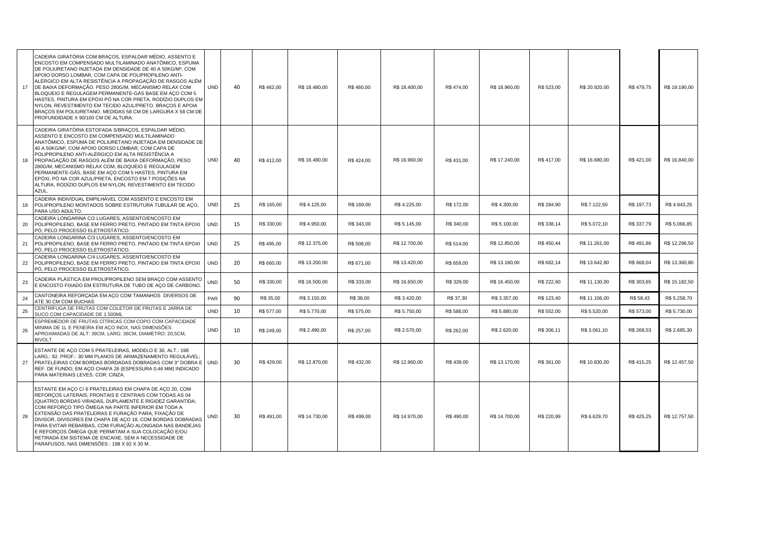| 17 | CADEIRA GIRATÓRIA COM BRAÇOS, ESPALDAR MÉDIO, ASSENTO E<br>ENCOSTO EM COMPENSADO MULTILAMINADO ANATÔMICO. ESPUMA<br>DE POLIURETANO INJETADA EM DENSIDADE DE 40 A 50KG/M <sup>3</sup> , COM<br>APOIO DORSO LOMBAR, COM CAPA DE POLIPROPILENO ANTI-<br>ALÉRGICO EM ALTA RESISTÊNCIA A PROPAGAÇÃO DE RASGOS ALÉM<br>DE BAIXA DEFORMAÇÃO. PESO 280G/M, MECANISMO RELAX COM<br>BLOQUEIO E REGULAGEM PERMANENTE-GÁS BASE EM ACO COM 5<br>HASTES, PINTURA EM EPÓXI PÓ NA COR PRETA, RODÍZIO DUPLOS EM<br>NYLON, REVESTIMENTO EM TECIDO AZUL/PRETO. BRAÇOS E APOIA<br>BRACOS EM POLIURETANO. MEDIDAS 58 CM DE LARGURA X 58 CM DE<br>PROFUNDIDADE X 90/100 CM DE ALTURA. | <b>UND</b> | 40 | R\$462,00  | R\$ 18.480,00 | R\$460,00  | R\$ 18.400,00 | R\$474,00  | R\$ 18.960,00 | R\$ 523,00 | R\$ 20.920,00 | R\$479,75  | R\$ 19.190,00 |
|----|-----------------------------------------------------------------------------------------------------------------------------------------------------------------------------------------------------------------------------------------------------------------------------------------------------------------------------------------------------------------------------------------------------------------------------------------------------------------------------------------------------------------------------------------------------------------------------------------------------------------------------------------------------------------|------------|----|------------|---------------|------------|---------------|------------|---------------|------------|---------------|------------|---------------|
| 18 | CADEIRA GIRATÓRIA ESTOFADA S/BRACOS, ESPALDAR MÉDIO,<br>ASSENTO E ENCOSTO EM COMPENSADO MULTILAMINADO<br>ANATÔMICO, ESPUMA DE POLIURETANO INJETADA EM DENSIDADE DE<br>40 A 50KG/M <sup>3</sup> , COM APOIO DORSO LOMBAR, COM CAPA DE<br>POLIPROPILENO ANTI-ALÉRGICO EM ALTA RESISTÊNCIA A<br>PROPAGAÇÃO DE RASGOS ALÉM DE BAIXA DEFORMAÇÃO, PESO<br>280G/M, MECANISMO RELAX COM, BLOQUEIO E REGULAGEM<br>PERMANENTE-GÁS, BASE EM AÇO COM 5 HASTES, PINTURA EM<br>EPÓXI, PÓ NA COR AZUL/PRETA, ENCOSTO EM 7 POSIÇÕES NA<br>ALTURA. RODÍZIO DUPLOS EM NYLON. REVESTIMENTO EM TECIDO<br>AZUL.                                                                      | <b>UND</b> | 40 | R\$412,00  | R\$ 16.480,00 | R\$424,00  | R\$ 16.960,00 | R\$431,00  | R\$ 17.240,00 | R\$417,00  | R\$ 16.680,00 | R\$421,00  | R\$ 16.840,00 |
| 19 | CADEIRA INDIVIDUAL EMPILHÁVEL COM ASSENTO E ENCOSTO EM<br>POLIPROPILENO MONTADOS SOBRE ESTRUTURA TUBULAR DE AÇO,<br>PARA USO ADULTO.                                                                                                                                                                                                                                                                                                                                                                                                                                                                                                                            | <b>UND</b> | 25 | R\$ 165,00 | R\$4.125,00   | R\$ 169,00 | R\$ 4.225,00  | R\$ 172,00 | R\$4.300,00   | R\$ 284,90 | R\$ 7.122,50  | R\$ 197,73 | R\$4.943,25   |
| 20 | CADEIRA LONGARINA C/2 LUGARES, ASSENTO/ENCOSTO EM<br>POLIPROPILENO, BASE EM FERRO PRETO, PINTADO EM TINTA EPOXI<br>PÓ, PELO PROCESSO ELETROSTÁTICO.                                                                                                                                                                                                                                                                                                                                                                                                                                                                                                             | <b>UND</b> | 15 | R\$ 330,00 | R\$4.950,00   | R\$ 343,00 | R\$ 5.145,00  | R\$ 340,00 | R\$ 5.100,00  | R\$ 338,14 | R\$ 5.072,10  | R\$ 337,79 | R\$ 5.066,85  |
| 21 | CADEIRA LONGARINA C/3 LUGARES, ASSENTO/ENCOSTO EM<br>POLIPROPILENO, BASE EM FERRO PRETO, PINTADO EM TINTA EPOXI<br>PÓ, PELO PROCESSO ELETROSTÁTICO.                                                                                                                                                                                                                                                                                                                                                                                                                                                                                                             | <b>UND</b> | 25 | R\$495,00  | R\$ 12.375,00 | R\$ 508,00 | R\$ 12.700,00 | R\$ 514,00 | R\$ 12.850,00 | R\$450,44  | R\$ 11.261,00 | R\$491,86  | R\$ 12.296,50 |
| 22 | CADEIRA LONGARINA C/4 LUGARES, ASSENTO/ENCOSTO EM<br>POLIPROPILENO, BASE EM FERRO PRETO, PINTADO EM TINTA EPOXI<br>PÓ, PELO PROCESSO ELETROSTÁTICO.                                                                                                                                                                                                                                                                                                                                                                                                                                                                                                             | <b>UND</b> | 20 | R\$ 660.00 | R\$ 13.200,00 | R\$ 671.00 | R\$ 13.420,00 | R\$ 659.00 | R\$ 13.180,00 | R\$ 682,14 | R\$ 13.642,80 | R\$ 668,04 | R\$ 13.360,80 |
| 23 | CADEIRA PLÁSTICA EM PROLIPROPILENO SEM BRACO COM ASSENTO<br>E ENCOSTO FIXADO EM ESTRUTURA DE TUBO DE AÇO DE CARBONO.                                                                                                                                                                                                                                                                                                                                                                                                                                                                                                                                            | <b>UND</b> | 50 | R\$ 330.00 | R\$ 16.500,00 | R\$ 333,00 | R\$ 16.650,00 | R\$ 329,00 | R\$ 16,450.00 | R\$ 222,60 | R\$ 11,130.00 | R\$ 303,65 | R\$ 15.182,50 |
| 24 | CANTONEIRA REFORÇADA EM AÇO COM TAMANHOS DIVERSOS DE<br>ATE 30 CM COM BUCHAS                                                                                                                                                                                                                                                                                                                                                                                                                                                                                                                                                                                    | PAR        | 90 | R\$ 35,00  | R\$ 3.150,00  | R\$ 38,00  | R\$ 3.420,00  | R\$ 37,30  | R\$ 3.357,00  | R\$ 123,40 | R\$ 11.106,00 | R\$ 58,43  | R\$ 5.258,70  |
| 25 | CENTRÍFUGA DE FRUTAS COM COLETOR DE FRUTAS E JARRA DE<br>SUCO COM CAPACIDADE DE 1.500ML                                                                                                                                                                                                                                                                                                                                                                                                                                                                                                                                                                         | <b>UND</b> | 10 | R\$ 577,00 | R\$ 5.770,00  | R\$ 575,00 | R\$ 5.750,00  | R\$ 588,00 | R\$ 5.880,00  | R\$ 552,00 | R\$ 5.520,00  | R\$ 573,00 | R\$ 5.730,00  |
| 26 | ESPREMEDOR DE FRUTAS CÍTRICAS COM COPO COM CAPACIDADE<br>MINIMA DE 1L E PENEIRA EM AÇO INOX, NAS DIMENSÕES<br>APROXIMADAS DE ALT: 39CM, LARG: 36CM, DIAMETRO: 20,5CM,<br><b>BIVOLT</b>                                                                                                                                                                                                                                                                                                                                                                                                                                                                          | <b>UND</b> | 10 | R\$ 249.00 | R\$ 2.490,00  | R\$ 257.00 | R\$ 2.570,00  | R\$ 262.00 | R\$ 2.620,00  | R\$ 306,11 | R\$ 3.061,10  | R\$ 268,53 | R\$ 2.685,30  |
| 27 | ESTANTE DE AÇO COM 5 PRATELEIRAS, MODELO E 30, ALT.: 198<br>LARG.: 92. PROF.: 30 MM PLANOS DE ARMAZENAMENTO REGULÁVEL;<br>PRATELEIRAS COM BORDAS BORDADAS DOBRADAS COM 3° DOBRA E UND<br>REF. DE FUNDO; EM AÇO CHAPA 26 (ESPESSURA 0,46 MM) INDICADO<br>PARA MATERIAIS LEVES. COR: CINZA.                                                                                                                                                                                                                                                                                                                                                                       |            | 30 | R\$429,00  | R\$ 12.870,00 | R\$432,00  | R\$ 12.960,00 | R\$439,00  | R\$ 13.170,00 | R\$ 361,00 | R\$ 10.830,00 | R\$415,25  | R\$ 12.457,50 |
| 28 | ESTANTE EM ACO C/ 6 PRATELEIRAS EM CHAPA DE ACO 20, COM<br>REFORÇOS LATERAIS, FRONTAIS E CENTRAIS COM TODAS AS 04<br>(QUATRO) BORDAS VIRADAS, DUPLAMENTE E RIGIDEZ GARANTIDA;<br>COM REFORCO TIPO ÔMEGA NA PARTE INFERIOR EM TODA A<br>EXTENSÃO DAS PRATELEIRAS E FURAÇÃO PARA, FIXAÇÃO DE<br>DIVISOR, DIVISORES EM CHAPA DE AÇO 18, COM BORDAS DOBRADAS<br>PARA EVITAR REBARBAS, COM FURAÇÃO ALONGADA NAS BANDEJAS<br>E REFORÇOS ÔMEGA QUE PERMITAM A SUA COLOCAÇÃO E/OU<br>RETIRADA EM SISTEMA DE ENCAIXE, SEM A NECESSIDADE DE<br>PARAFUSOS, NAS DIMENSÕES: 198 X 92 X 30 M.                                                                                 | <b>UND</b> | 30 | R\$491,00  | R\$ 14.730,00 | R\$499,00  | R\$ 14.970,00 | R\$490,00  | R\$ 14.700,00 | R\$ 220,99 | R\$ 6.629,70  | R\$425,25  | R\$ 12.757,50 |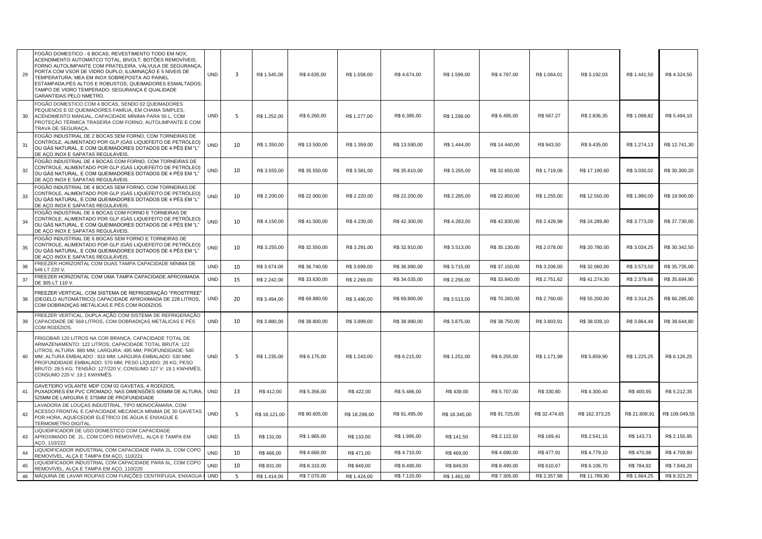| 29 | FOGÃO DOMESTICO - 6 BOCAS; REVESTIMENTO TODO EM NOX;<br>ACENDIMENTO AUTOMÁTCO TOTAL, BIVOLT; BOTÕES REMOVÍVEIS;<br>FORNO AUTOLIMPANTE COM PRATELEIRA, VALVULA DE SEGURANCA,<br>PORTA COM VSOR DE VIDRO DUPLO; ILUMINAÇÃO E 5 NIVEIS DE<br>TEMPERATURA; MEA EM INOX SOBREPOSTA AO PAINEL<br>ESTAMPADA;PÉS ALTOS E ROBUSTOS; QUEIMADORES ESMALTADOS;<br>TAMPO DE VIDRO TEMPERADO; SEGURANÇA E QUALIDADE<br><b>GARANTIDAS PELO NMETRO</b> | <b>UND</b> | 3  | R\$ 1.545,00  | R\$4.635,00   | R\$ 1.558,00  | R\$ 4.674,00  | R\$ 1.599,00  | R\$ 4.797,00  | R\$ 1.064,01  | R\$ 3.192,03   | R\$ 1.441,50  | R\$4.324,50    |
|----|----------------------------------------------------------------------------------------------------------------------------------------------------------------------------------------------------------------------------------------------------------------------------------------------------------------------------------------------------------------------------------------------------------------------------------------|------------|----|---------------|---------------|---------------|---------------|---------------|---------------|---------------|----------------|---------------|----------------|
| 30 | FOGÃO DOMESTICO COM 4 BOCAS, SENDO 02 QUEIMADORES<br>PEQUENOS E 02 QUEIMADORES FAMÍLIA, EM CHAMA SIMPLES,<br>ACENDIMENTO MANUAL, CAPACIDADE MÍNIMA PARA 56 L, COM<br>PROTEÇÃO TÉRMICA TRASEIRA COM FORNO, AUTOLIMPANTE E COM<br>TRAVA DE SEGURAÇA.                                                                                                                                                                                     | <b>UND</b> | 5  | R\$ 1.252,00  | R\$ 6.260,00  | R\$ 1.277,00  | R\$ 6.385,00  | R\$ 1.299,00  | R\$ 6.495,00  | R\$ 567,27    | R\$ 2.836,35   | R\$ 1.098,82  | R\$ 5.494,10   |
| 31 | FOGÃO INDUSTRIAL DE 2 BOCAS SEM FORNO, COM TORNEIRAS DE<br>CONTROLE, ALIMENTADO POR GLP (GÁS LIQUEFEITO DE PETRÓLEO)<br>OU GAS NATURAL, E COM QUEIMADORES DOTADOS DE 4 PÉS EM "L'<br>DE AÇO INOX E SAPATAS REGULÁVEIS.                                                                                                                                                                                                                 | UND        | 10 | R\$ 1.350,00  | R\$ 13.500,00 | R\$ 1.359,00  | R\$ 13.590,00 | R\$ 1.444,00  | R\$ 14.440,00 | R\$ 943,50    | R\$ 9.435,00   | R\$ 1.274,13  | R\$ 12.741,30  |
| 32 | FOGÃO INDUSTRIAL DE 4 BOCAS COM FORNO, COM TORNEIRAS DE<br>CONTROLE, ALIMENTADO POR GLP (GÁS LIQUEFEITO DE PETRÓLEO)<br>OU GÁS NATURAL, E COM QUEIMADORES DOTADOS DE 4 PÉS EM "L"<br>DE AÇO INOX E SAPATAS REGULÁVEIS.                                                                                                                                                                                                                 | <b>UND</b> | 10 | R\$ 3.555,00  | R\$ 35.550,00 | R\$ 3.581,00  | R\$ 35.810,00 | R\$ 3.265,00  | R\$ 32.650,00 | R\$ 1.719,06  | R\$ 17.190,60  | R\$ 3.030,02  | R\$ 30.300,20  |
| 33 | FOGÃO INDUSTRIAL DE 4 BOCAS SEM FORNO, COM TORNEIRAS DE<br>CONTROLE, ALIMENTADO POR GLP (GÁS LIQUEFEITO DE PETRÓLEO)<br>OU GÁS NATURAL, E COM QUEIMADORES DOTADOS DE 4 PÉS EM "L"<br>DE AÇO INOX E SAPATAS REGULÁVEIS.                                                                                                                                                                                                                 | <b>UND</b> | 10 | R\$ 2.200,00  | R\$ 22.000,00 | R\$ 2.220,00  | R\$ 22.200,00 | R\$ 2.285,00  | R\$ 22.850,00 | R\$ 1.255,00  | R\$ 12.550,00  | R\$ 1.990,00  | R\$ 19.900,00  |
| 34 | FOGÃO INDUSTRIAL DE 6 BOCAS COM FORNO E TORNEIRAS DE<br>CONTROLE, ALIMENTADO POR GLP (GÁS LIQUEFEITO DE PETRÓLEO)<br>OU GÁS NATURAL, E COM QUEIMADORES DOTADOS DE 4 PÉS EM "L"<br>DE AÇO INOX E SAPATAS REGULÁVEIS.                                                                                                                                                                                                                    | <b>UND</b> | 10 | R\$4.150,00   | R\$ 41.500,00 | R\$4.230,00   | R\$42.300,00  | R\$4.283,00   | R\$42.830,00  | R\$ 2.428,98  | R\$ 24.289,80  | R\$ 3.773,00  | R\$ 37.730,00  |
| 35 | FOGÃO INDUSTRIAL DE 6 BOCAS SEM FORNO E TORNEIRAS DE<br>CONTROLE, ALIMENTADO POR GLP (GÁS LIQUEFEITO DE PETRÓLEO)<br>OU GÁS NATURAL, E COM QUEIMADORES DOTADOS DE 4 PÉS EM "L"<br>DE AÇO INOX E SAPATAS REGULÁVEIS.                                                                                                                                                                                                                    | <b>UND</b> | 10 | R\$ 3.255,00  | R\$ 32.550,00 | R\$ 3.291,00  | R\$ 32.910,00 | R\$ 3.513,00  | R\$ 35.130,00 | R\$ 2.078,00  | R\$ 20.780,00  | R\$ 3.034,25  | R\$ 30.342,50  |
| 36 | FREEZER HORIZONTAL COM DUAS TAMPA CAPACIDADE MÍNIMA DE<br>546 LT 220 V.                                                                                                                                                                                                                                                                                                                                                                | <b>UND</b> | 10 | R\$ 3.674,00  | R\$ 36.740,00 | R\$ 3.699,00  | R\$ 36.990,00 | R\$ 3.715,00  | R\$ 37.150,00 | R\$ 3.206,00  | R\$ 32.060,00  | R\$ 3.573,50  | R\$ 35.735,00  |
| 37 | FREEZER HORIZONTAL COM UMA TAMPA CAPACIDADE APROXIMADA<br>DE 305 LT 110 V.                                                                                                                                                                                                                                                                                                                                                             | <b>UND</b> | 15 | R\$ 2.242,00  | R\$ 33.630,00 | R\$ 2.269,00  | R\$ 34.035,00 | R\$ 2.256,00  | R\$ 33.840,00 | R\$ 2.751,62  | R\$41.274,30   | R\$ 2.379,66  | R\$ 35.694,90  |
| 38 | FREEZER VERTICAL, COM SISTEMA DE REFRIGERAÇÃO "FROSTFREE"<br>(DEGELO AUTOMÁTRICO) CAPACIDADE APROXIMADA DE 228 LITROS,<br>COM DOBRADIÇAS METÁLICAS E PÉS COM RODÍZIOS.                                                                                                                                                                                                                                                                 | <b>UND</b> | 20 | R\$ 3.494,00  | R\$ 69.880,00 | R\$ 3.490,00  | R\$ 69.800,00 | R\$ 3.513,00  | R\$70.260,00  | R\$ 2.760,00  | R\$ 55.200,00  | R\$ 3.314,25  | R\$ 66.285,00  |
| 39 | FREEZER VERTICAL, DUPLA AÇÃO COM SISTEMA DE REFRIGERAÇÃO<br>CAPACIDADE DE 569 LITROS, COM DOBRADIÇAS METÁLICAS E PÉS<br>COM RODÍZIOS.                                                                                                                                                                                                                                                                                                  | <b>UND</b> | 10 | R\$ 3.880,00  | R\$ 38.800,00 | R\$ 3.899,00  | R\$ 38.990,00 | R\$ 3.875,00  | R\$ 38.750,00 | R\$ 3.803,91  | R\$ 38.039,10  | R\$ 3.864,48  | R\$ 38.644,80  |
| 40 | FRIGOBAR 120 LITROS NA COR BRANCA, CAPACIDADE TOTAL DE<br>ARMAZENAMENTO: 122 LITROS; CAPACIDADE TOTAL BRUTA: 122<br>LITROS; ALTURA: 880 MM; LARGURA: 495 MM; PROFUNDIDADE: 540<br>MM; ALTURA EMBALADO : 910 MM; LARGURA EMBALADO: 530 MM;<br>PROFUNDIDADE EMBALADO: 570 MM; PESO LÍQUIDO: 28 KG; PESO<br>BRUTO: 28.5 KG; TENSÃO: 127/220 V; CONSUMO 127 V: 19.1 KWH/MÊS;<br>CONSUMO 220 V: 19.1 KWH/MÊS.                               | <b>UND</b> | 5  | R\$ 1.235,00  | R\$ 6.175,00  | R\$ 1.243,00  | R\$ 6.215,00  | R\$ 1.251,00  | R\$ 6.255,00  | R\$ 1.171,98  | R\$ 5.859,90   | R\$ 1.225,25  | R\$ 6.126,25   |
| 41 | GAVETEIRO VOLANTE MDP COM 02 GAVETAS, 4 RODÍZIOS,<br>PUXADORES EM PVC CROMADO, NAS DIMENSÕES 605MM DE ALTURA,<br>525MM DE LARGURA E 375MM DE PROFUNDIDADE                                                                                                                                                                                                                                                                              | <b>UND</b> | 13 | R\$412,00     | R\$ 5.356,00  | R\$422,00     | R\$ 5.486,00  | R\$439,00     | R\$ 5.707,00  | R\$ 330,80    | R\$ 4.300,40   | R\$400,95     | R\$ 5.212,35   |
| 42 | LAVADORA DE LOUÇAS INDUSTRIAL, TIPO MONOCÂMARA, COM<br>ACESSO FRONTAL E CAPACIDADE MECANICA MÍNIMA DE 30 GAVETAS<br>POR HORA, AQUECEDOR ELÉTRICO DE ÁGUA E ENXAGUE E<br>TERMOMETRO DIGITAL                                                                                                                                                                                                                                             | <b>UND</b> | 5  | R\$ 18.121,00 | R\$ 90.605,00 | R\$ 18.299,00 | R\$ 91.495,00 | R\$ 18.345,00 | R\$ 91.725,00 | R\$ 32.474,65 | R\$ 162.373,25 | R\$ 21.809,91 | R\$ 109.049,55 |
| 43 | LIQUIDIFICADOR DE USO DOMESTICO COM CAPACIDADE<br>APROXIMADO DE 2L, COM COPO REMOVÍVEL, ALÇA E TAMPA EM<br>AÇO, 110/222                                                                                                                                                                                                                                                                                                                | <b>UND</b> | 15 | R\$ 131,00    | R\$ 1.965,00  | R\$ 133,00    | R\$ 1.995,00  | R\$ 141,50    | R\$ 2.122,50  | R\$ 169,41    | R\$ 2.541,15   | R\$ 143,73    | R\$ 2.155,95   |
| 44 | LIQUIDIFICADOR INDUSTRIAL COM CAPACIDADE PARA 2L, COM COPO<br>REMOVÍVEL, ALÇA E TAMPA EM AÇO, 110/221                                                                                                                                                                                                                                                                                                                                  | <b>UND</b> | 10 | R\$466,00     | R\$4.660,00   | R\$ 471,00    | R\$ 4.710,00  | R\$469,00     | R\$ 4.690,00  | R\$ 477,91    | R\$ 4.779,10   | R\$470,98     | R\$4.709,80    |
| 45 | LIQUIDIFICADOR INDUSTRIAL COM CAPACIDADE PARA 6L, COM COPO<br>REMOVIVEL, ALÇA E TAMPA EM AÇO, 110/220                                                                                                                                                                                                                                                                                                                                  | <b>UND</b> | 10 | R\$ 831,00    | R\$8.310,00   | R\$ 849,00    | R\$ 8.490,00  | R\$ 849,00    | R\$ 8.490,00  | R\$ 610,67    | R\$ 6.106,70   | R\$784,92     | R\$ 7.849,20   |
| 46 | MÁQUINA DE LAVAR ROUPAS COM FUNÇÕES CENTRÍFUGA, ENXAGUA                                                                                                                                                                                                                                                                                                                                                                                | <b>UND</b> | 5  | R\$ 1.414,00  | R\$ 7.070,00  | R\$ 1.424,00  | R\$ 7.120,00  | R\$ 1.461,00  | R\$ 7.305,00  | R\$ 2.357,98  | R\$ 11.789,90  | R\$ 1.664,25  | R\$ 8.321,25   |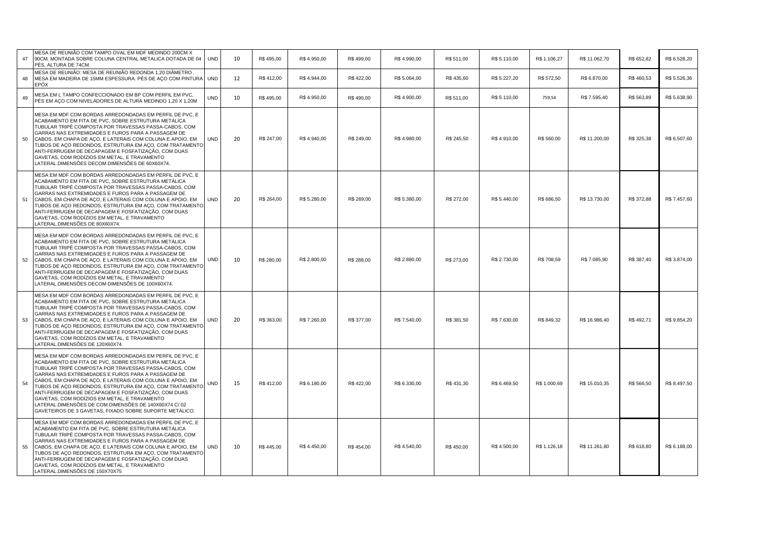| 47 | MESA DE REUNIÃO COM TAMPO OVAL EM MDF MEDINDO 200CM X<br>90CM, MONTADA SOBRE COLUNA CENTRAL METALICA DOTADA DE 04<br>PÉS, ALTURA DE 74CM.                                                                                                                                                                                                                                                                                                                                                                                                                                        | <b>UND</b> | 10 | R\$495,00  | R\$4.950,00  | R\$ 499,00 | R\$4.990,00  | R\$ 511,00 | R\$ 5.110,00 | R\$ 1.106,27 | R\$ 11.062,70 | R\$ 652,82 | R\$ 6.528,20 |
|----|----------------------------------------------------------------------------------------------------------------------------------------------------------------------------------------------------------------------------------------------------------------------------------------------------------------------------------------------------------------------------------------------------------------------------------------------------------------------------------------------------------------------------------------------------------------------------------|------------|----|------------|--------------|------------|--------------|------------|--------------|--------------|---------------|------------|--------------|
| 48 | MESA DE REUNIÃO: MESA DE REUNIÃO REDONDA 1.20 DIÂMETRO.<br>MESA EM MADEIRA DE 15MM ESPESSURA. PÉS DE AÇO COM PINTURA<br>EPÓX                                                                                                                                                                                                                                                                                                                                                                                                                                                     | <b>UND</b> | 12 | R\$412,00  | R\$4.944,00  | R\$ 422,00 | R\$ 5.064,00 | R\$435,60  | R\$ 5.227,20 | R\$ 572,50   | R\$ 6.870,00  | R\$460,53  | R\$ 5.526,36 |
| 49 | MESA EM L TAMPO CONFECCIONADO EM BP COM PERFIL EM PVC,<br>PÉS EM ACO COM NIVELADORES DE ALTURA MEDINDO 1,20 X 1,20M                                                                                                                                                                                                                                                                                                                                                                                                                                                              | <b>UND</b> | 10 | R\$495.00  | R\$4.950,00  | R\$490.00  | R\$4.900,00  | R\$ 511.00 | R\$ 5.110,00 | 759,54       | R\$ 7.595,40  | R\$ 563,89 | R\$ 5.638,90 |
| 50 | MESA EM MDF COM BORDAS ARREDONDADAS EM PERFIL DE PVC, E<br>ACABAMENTO EM FITA DE PVC. SOBRE ESTRUTURA METÁLICA<br>TUBULAR TRIPÉ COMPOSTA POR TRAVESSAS PASSA-CABOS, COM<br>GARRAS NAS EXTREMIDADES E FUROS PARA A PASSAGEM DE<br>CABOS, EM CHAPA DE AÇO, E LATERAIS COM COLUNA E APOIO, EM<br>TUBOS DE ACO REDONDOS, ESTRUTURA EM ACO, COM TRATAMENTO<br>ANTI-FERRUGEM DE DECAPAGEM E FOSFATIZAÇÃO, COM DUAS<br>GAVETAS, COM RODÍZIOS EM METAL, E TRAVAMENTO<br>LATERAL.DIMENSÕES DECOM DIMENSÕES DE 60X60X74.                                                                   | <b>UND</b> | 20 | R\$ 247,00 | R\$4.940,00  | R\$ 249,00 | R\$4.980,00  | R\$ 245,50 | R\$4.910,00  | R\$ 560,00   | R\$ 11.200,00 | R\$ 325,38 | R\$ 6.507,60 |
| 51 | MESA EM MDF COM BORDAS ARREDONDADAS EM PERFIL DE PVC. E<br>ACABAMENTO EM FITA DE PVC, SOBRE ESTRUTURA METÁLICA<br>TUBULAR TRIPÉ COMPOSTA POR TRAVESSAS PASSA-CABOS, COM<br>GARRAS NAS EXTREMIDADES E FUROS PARA A PASSAGEM DE<br>CABOS, EM CHAPA DE ACO, E LATERAIS COM COLUNA E APOIO, EM<br>TUBOS DE ACO REDONDOS, ESTRUTURA EM ACO, COM TRATAMENTO<br>ANTI-FERRUGEM DE DECAPAGEM E FOSFATIZAÇÃO, COM DUAS<br>GAVETAS, COM RODÍZIOS EM METAL, E TRAVAMENTO<br>LATERAL.DIMENSÕES DE 80X60X74.                                                                                   | <b>UND</b> | 20 | R\$ 264,00 | R\$ 5.280,00 | R\$ 269,00 | R\$ 5.380,00 | R\$ 272,00 | R\$ 5.440,00 | R\$ 686,50   | R\$ 13.730,00 | R\$ 372,88 | R\$ 7.457,60 |
| 52 | MESA EM MDF COM BORDAS ARREDONDADAS EM PERFIL DE PVC. E<br>ACABAMENTO EM FITA DE PVC. SOBRE ESTRUTURA METÁLICA<br>TUBULAR TRIPÉ COMPOSTA POR TRAVESSAS PASSA-CABOS, COM<br>GARRAS NAS EXTREMIDADES E FUROS PARA A PASSAGEM DE<br>CABOS, EM CHAPA DE ACO, E LATERAIS COM COLUNA E APOIO, EM<br>TUBOS DE AÇO REDONDOS, ESTRUTURA EM AÇO, COM TRATAMENTO<br>ANTI-FERRUGEM DE DECAPAGEM E FOSFATIZAÇÃO, COM DUAS<br>GAVETAS, COM RODÍZIOS EM METAL, E TRAVAMENTO<br>LATERAL.DIMENSÕES DECOM DIMENSÕES DE 100X60X74.                                                                  | <b>UND</b> | 10 | R\$ 280.00 | R\$ 2.800,00 | R\$ 288.00 | R\$ 2.880,00 | R\$ 273.00 | R\$ 2.730,00 | R\$ 708,59   | R\$ 7.085,90  | R\$ 387,40 | R\$ 3.874,00 |
| 53 | MESA EM MDF COM BORDAS ARREDONDADAS EM PERFIL DE PVC. E<br>ACABAMENTO EM FITA DE PVC, SOBRE ESTRUTURA METÁLICA<br>TUBULAR TRIPÉ COMPOSTA POR TRAVESSAS PASSA-CABOS, COM<br>GARRAS NAS EXTREMIDADES E FUROS PARA A PASSAGEM DE<br>CABOS, EM CHAPA DE AÇO, E LATERAIS COM COLUNA E APOIO, EM<br>TUBOS DE AÇO REDONDOS, ESTRUTURA EM AÇO, COM TRATAMENTO<br>ANTI-FERRUGEM DE DECAPAGEM E FOSFATIZAÇÃO. COM DUAS<br>GAVETAS, COM RODÍZIOS EM METAL. E TRAVAMENTO<br>LATERAL.DIMENSÕES DE 120X60X74                                                                                   | <b>UND</b> | 20 | R\$ 363.00 | R\$7.260,00  | R\$ 377,00 | R\$ 7.540.00 | R\$ 381,50 | R\$ 7.630.00 | R\$ 849.32   | R\$ 16,986.40 | R\$492,71  | R\$ 9.854,20 |
| 54 | MESA EM MDF COM BORDAS ARREDONDADAS EM PERFIL DE PVC, E<br>ACABAMENTO EM FITA DE PVC, SOBRE ESTRUTURA METÁLICA<br>TUBULAR TRIPÉ COMPOSTA POR TRAVESSAS PASSA-CABOS, COM<br>GARRAS NAS EXTREMIDADES E FUROS PARA A PASSAGEM DE<br>CABOS, EM CHAPA DE AÇO, E LATERAIS COM COLUNA E APOIO, EM<br>TUBOS DE AÇO REDONDOS, ESTRUTURA EM AÇO, COM TRATAMENTO<br>ANTI-FERRUGEM DE DECAPAGEM E FOSFATIZAÇÃO, COM DUAS<br>GAVETAS, COM RODÍZIOS EM METAL, E TRAVAMENTO<br>LATERAL.DIMENSÕES DE COM DIMENSÕES DE 140X60X74 C/ 02<br>GAVETEIROS DE 3 GAVETAS, FIXADO SOBRE SUPORTE METÁLICO. | <b>UND</b> | 15 | R\$412,00  | R\$ 6.180,00 | R\$ 422,00 | R\$ 6.330,00 | R\$431,30  | R\$ 6.469,50 | R\$ 1.000,69 | R\$ 15.010,35 | R\$ 566,50 | R\$ 8.497,50 |
| 55 | MESA EM MDF COM BORDAS ARREDONDADAS EM PERFIL DE PVC. E<br>ACABAMENTO EM FITA DE PVC, SOBRE ESTRUTURA METÁLICA<br>TUBULAR TRIPÉ COMPOSTA POR TRAVESSAS PASSA-CABOS, COM<br>GARRAS NAS EXTREMIDADES E FUROS PARA A PASSAGEM DE<br>CABOS, EM CHAPA DE ACO, E LATERAIS COM COLUNA E APOIO, EM<br>TUBOS DE AÇO REDONDOS, ESTRUTURA EM AÇO, COM TRATAMENTO<br>ANTI-FERRUGEM DE DECAPAGEM E FOSFATIZAÇÃO, COM DUAS<br>GAVETAS, COM RODÍZIOS EM METAL, E TRAVAMENTO<br>LATERAL.DIMENSÕES DE 150X70X75                                                                                   | <b>UND</b> | 10 | R\$445.00  | R\$4.450,00  | R\$ 454.00 | R\$4.540,00  | R\$450.00  | R\$ 4.500,00 | R\$ 1.126,18 | R\$ 11.261,80 | R\$ 618,80 | R\$ 6.188,00 |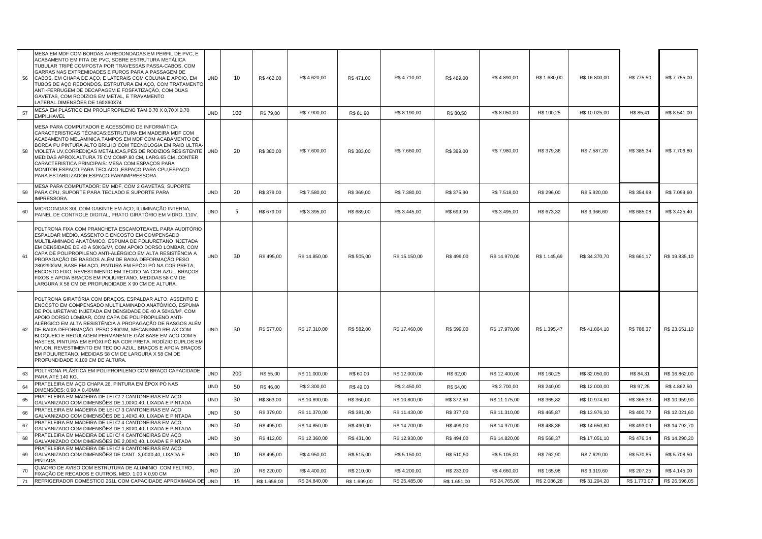| 56 | MESA EM MDF COM BORDAS ARREDONDADAS EM PERFIL DE PVC, E<br>ACABAMENTO EM FITA DE PVC, SOBRE ESTRUTURA METÁLICA<br>TUBULAR TRIPÉ COMPOSTA POR TRAVESSAS PASSA-CABOS, COM<br>GARRAS NAS EXTREMIDADES E FUROS PARA A PASSAGEM DE<br>CABOS, EM CHAPA DE AÇO, E LATERAIS COM COLUNA E APOIO, EM<br>TUBOS DE AÇO REDONDOS, ESTRUTURA EM AÇO, COM TRATAMENTO<br>ANTI-FERRUGEM DE DECAPAGEM E FOSFATIZAÇÃO, COM DUAS<br>GAVETAS, COM RODÍZIOS EM METAL, E TRAVAMENTO<br>LATERAL.DIMENSÕES DE 160X60X74                                                                                                                                            | UND        | 10  | R\$462,00    | R\$4.620,00   | R\$471,00    | R\$4.710,00   | R\$489,00    | R\$4.890,00   | R\$ 1.680,00 | R\$ 16.800,00 | R\$ 775,50   | R\$ 7.755,00  |
|----|-------------------------------------------------------------------------------------------------------------------------------------------------------------------------------------------------------------------------------------------------------------------------------------------------------------------------------------------------------------------------------------------------------------------------------------------------------------------------------------------------------------------------------------------------------------------------------------------------------------------------------------------|------------|-----|--------------|---------------|--------------|---------------|--------------|---------------|--------------|---------------|--------------|---------------|
| 57 | MESA EM PLÁSTICO EM PROLIPROPILENO TAM 0,70 X 0,70 X 0,70<br><b>EMPILHAVEL</b>                                                                                                                                                                                                                                                                                                                                                                                                                                                                                                                                                            | <b>UND</b> | 100 | R\$ 79,00    | R\$ 7.900,00  | R\$ 81,90    | R\$ 8.190,00  | R\$ 80,50    | R\$ 8.050,00  | R\$ 100,25   | R\$ 10.025,00 | R\$ 85,41    | R\$ 8.541,00  |
| 58 | MESA PARA COMPUTADOR E ACESSÓRIO DE INFORMÁTICA:<br>CARACTERISTICAS TÉCNICAS: ESTRUTURA EM MADEIRA MDF COM<br>ACABAMENTO MELAMINICA, TAMPOS EM MDF COM ACABAMENTO DE<br>BORDA PU PINTURA ALTO BRILHO COM TECNOLOGIA EM RAIO ULTRA<br>VIOLETA UV, CORREDIÇAS METALICAS, PÉS DE RODIZIOS RESISTENTE<br>MEDIDAS APROX.ALTURA 75 CM,COMP.80 CM, LARG.65 CM .CONTER<br>CARACTERISTICA PRINCIPAIS: MESA COM ESPAÇOS PARA<br>MONITOR, ESPAÇO PARA TECLADO, ESPAÇO PARA CPU, ESPAÇO<br>PARA ESTABILIZADOR, ESPAÇO PARAIMPRESSORA.                                                                                                                 | UND        | 20  | R\$ 380,00   | R\$ 7.600,00  | R\$ 383,00   | R\$ 7.660,00  | R\$ 399,00   | R\$ 7.980,00  | R\$ 379,36   | R\$ 7.587,20  | R\$ 385,34   | R\$7.706,80   |
| 59 | MESA PARA COMPUTADOR: EM MDF, COM 2 GAVETAS, SUPORTE<br>PARA CPU, SUPORTE PARA TECLADO E SUPORTE PARA<br>IMPRESSORA.                                                                                                                                                                                                                                                                                                                                                                                                                                                                                                                      | <b>UND</b> | 20  | R\$ 379,00   | R\$ 7.580,00  | R\$ 369,00   | R\$ 7.380,00  | R\$ 375,90   | R\$ 7.518,00  | R\$ 296,00   | R\$ 5.920,00  | R\$ 354,98   | R\$7.099,60   |
| 60 | MICROONDAS 30L COM GABINTE EM AÇO, ILUMINAÇÃO INTERNA,<br>PAINEL DE CONTROLE DIGITAL, PRATO GIRATÓRIO EM VIDRO, 110V.                                                                                                                                                                                                                                                                                                                                                                                                                                                                                                                     | <b>UND</b> | 5   | R\$ 679,00   | R\$ 3.395,00  | R\$ 689,00   | R\$ 3.445,00  | R\$ 699,00   | R\$ 3.495,00  | R\$ 673,32   | R\$ 3.366,60  | R\$ 685,08   | R\$ 3.425,40  |
| 61 | POLTRONA FIXA COM PRANCHETA ESCAMOTEAVEL PARA AUDITÓRIO<br>ESPALDAR MÉDIO, ASSENTO E ENCOSTO EM COMPENSADO<br>MULTILAMINADO ANATÔMICO, ESPUMA DE POLIURETANO INJETADA<br>EM DENSIDADE DE 40 A 50KG/M <sup>3</sup> , COM APOIO DORSO LOMBAR, COM<br>CAPA DE POLIPROPILENO ANTI-ALÉRGICO EM ALTA RESISTÊNCIA A<br>PROPAGAÇÃO DE RASGOS ALÉM DE BAIXA DEFORMAÇÃO.PESO<br>280/290G/M, BASE EM AÇO, PINTURA EM EPÓXI PÓ NA COR PRETA,<br>ENCOSTO FIXO, REVESTIMENTO EM TECIDO NA COR AZUL. BRAÇOS<br>FIXOS E APOIA BRAÇOS EM POLIURETANO. MEDIDAS 58 CM DE<br>LARGURA X 58 CM DE PROFUNDIDADE X 90 CM DE ALTURA.                               | UND        | 30  | R\$495,00    | R\$ 14.850,00 | R\$ 505,00   | R\$ 15.150,00 | R\$499,00    | R\$ 14.970,00 | R\$ 1.145,69 | R\$ 34.370,70 | R\$ 661,17   | R\$ 19.835,10 |
| 62 | POLTRONA GIRATÓRIA COM BRAÇOS, ESPALDAR ALTO, ASSENTO E<br>ENCOSTO EM COMPENSADO MULTILAMINADO ANATÔMICO, ESPUMA<br>DE POLIURETANO INJETADA EM DENSIDADE DE 40 A 50KG/M3, COM<br>APOIO DORSO LOMBAR, COM CAPA DE POLIPROPILENO ANTI-<br>ALÉRGICO EM ALTA RESISTÊNCIA A PROPAGAÇÃO DE RASGOS ALÉM<br>DE BAIXA DEFORMAÇÃO. PESO 280G/M, MECANISMO RELAX COM<br>BLOQUEIO E REGULAGEM PERMANENTE-GÁS BASE EM AÇO COM 5<br>HASTES, PINTURA EM EPÓXI PÓ NA COR PRETA, RODÍZIO DUPLOS EM<br>NYLON, REVESTIMENTO EM TECIDO AZUL. BRAÇOS E APOIA BRAÇOS<br>EM POLIURETANO. MEDIDAS 58 CM DE LARGURA X 58 CM DE<br>PROFUNDIDADE X 100 CM DE ALTURA. | UND        | 30  | R\$ 577,00   | R\$ 17.310,00 | R\$ 582,00   | R\$ 17.460,00 | R\$ 599,00   | R\$ 17.970,00 | R\$ 1.395,47 | R\$41.864,10  | R\$788,37    | R\$ 23.651,10 |
| 63 | POLTRONA PLÁSTICA EM POLIPROPILENO COM BRAÇO CAPACIDADE<br>PARA ATÉ 140 KG                                                                                                                                                                                                                                                                                                                                                                                                                                                                                                                                                                | <b>UND</b> | 200 | R\$ 55,00    | R\$ 11.000,00 | R\$ 60,00    | R\$ 12.000,00 | R\$ 62,00    | R\$ 12.400,00 | R\$ 160,25   | R\$ 32.050,00 | R\$ 84,31    | R\$ 16.862,00 |
| 64 | PRATELEIRA EM AÇO CHAPA 26, PINTURA EM ÉPOX PÓ NAS<br>DIMENSÕES: 0,90 X 0,40MM                                                                                                                                                                                                                                                                                                                                                                                                                                                                                                                                                            | <b>UND</b> | 50  | R\$ 46,00    | R\$ 2.300,00  | R\$49,00     | R\$ 2.450,00  | R\$ 54,00    | R\$ 2.700,00  | R\$ 240,00   | R\$ 12.000,00 | R\$ 97,25    | R\$4.862,50   |
| 65 | PRATELEIRA EM MADEIRA DE LEI C/2 CANTONEIRAS EM AÇO<br>GALVANIZADO COM DIMENSÕES DE 1,00X0,40, LIXADA E PINTADA                                                                                                                                                                                                                                                                                                                                                                                                                                                                                                                           | <b>UND</b> | 30  | R\$ 363,00   | R\$ 10.890,00 | R\$ 360,00   | R\$ 10.800,00 | R\$ 372,50   | R\$ 11.175,00 | R\$ 365,82   | R\$ 10.974,60 | R\$ 365,33   | R\$ 10.959,90 |
| 66 | PRATELEIRA EM MADEIRA DE LEI C/3 CANTONEIRAS EM AÇO<br>GALVANIZADO COM DIMENSÕES DE 1,40X0,40, LIXADA E PINTADA                                                                                                                                                                                                                                                                                                                                                                                                                                                                                                                           | <b>UND</b> | 30  | R\$ 379,00   | R\$ 11.370,00 | R\$ 381,00   | R\$ 11.430,00 | R\$ 377,00   | R\$ 11.310,00 | R\$ 465,87   | R\$ 13.976,10 | R\$400,72    | R\$ 12.021,60 |
| 67 | PRATELEIRA EM MADEIRA DE LEI C/ 4 CANTONEIRAS EM ACO<br>GALVANIZADO COM DIMENSÕES DE 1,80X0,40, LIXADA E PINTADA                                                                                                                                                                                                                                                                                                                                                                                                                                                                                                                          | <b>UND</b> | 30  | R\$495,00    | R\$ 14.850,00 | R\$ 490,00   | R\$ 14.700,00 | R\$499,00    | R\$ 14.970,00 | R\$488,36    | R\$ 14.650,80 | R\$493,09    | R\$ 14.792,70 |
| 68 | PRATELEIRA EM MADEIRA DE LEI C/ 4 CANTONEIRAS EM ACO<br>GALVANIZADO COM DIMENSÕES DE 2,00X0,40, LIXADA E PINTADA                                                                                                                                                                                                                                                                                                                                                                                                                                                                                                                          | <b>UND</b> | 30  | R\$412,00    | R\$ 12.360,00 | R\$431,00    | R\$ 12.930,00 | R\$494,00    | R\$ 14.820,00 | R\$ 568,37   | R\$ 17.051,10 | R\$476,34    | R\$ 14.290,20 |
| 69 | PRATELEIRA EM MADEIRA DE LEI C/6 CANTONEIRAS EM ACO<br>GALVANIZADO COM DIMENSÕES DE CANT. 3,00X0,40, LIXADA E<br><b>PINTADA</b>                                                                                                                                                                                                                                                                                                                                                                                                                                                                                                           | <b>UND</b> | 10  | R\$495,00    | R\$4.950,00   | R\$ 515,00   | R\$ 5.150,00  | R\$ 510,50   | R\$ 5.105,00  | R\$ 762,90   | R\$ 7.629,00  | R\$ 570,85   | R\$ 5.708,50  |
| 70 | QUADRO DE AVISO COM ESTRUTURA DE ALUMINIO COM FELTRO<br>FIXAÇÃO DE RECADOS E OUTROS, MED. 1,00 X 0,90 CM                                                                                                                                                                                                                                                                                                                                                                                                                                                                                                                                  | <b>UND</b> | 20  | R\$ 220,00   | R\$4.400,00   | R\$ 210,00   | R\$ 4.200,00  | R\$ 233,00   | R\$ 4.660,00  | R\$ 165,98   | R\$ 3.319,60  | R\$ 207,25   | R\$ 4.145,00  |
| 71 | REFRIGERADOR DOMÉSTICO 261L COM CAPACIDADE APROXIMADA DE                                                                                                                                                                                                                                                                                                                                                                                                                                                                                                                                                                                  | <b>UND</b> | 15  | R\$ 1.656,00 | R\$ 24.840,00 | R\$ 1.699,00 | R\$ 25.485,00 | R\$ 1.651,00 | R\$ 24.765,00 | R\$ 2.086,28 | R\$ 31.294,20 | R\$ 1.773,07 | R\$ 26.596,05 |